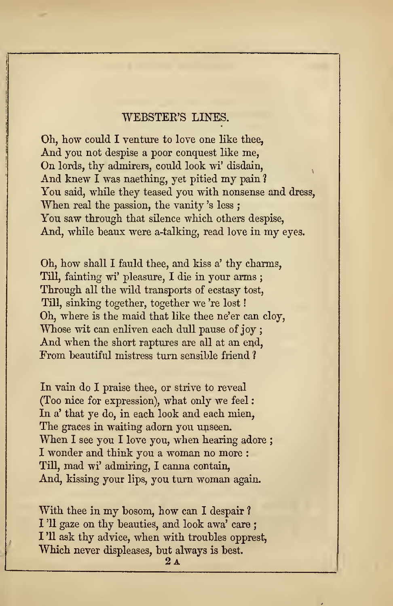## WEBSTEE'S LINES.

Oh, how could <sup>I</sup> venture to love one like thee, And you not despise a poor conquest like me, On lords, thy admirers, could look wi' disdain, And knew I was naething, yet pitied my pain ? You said, while they teased you with nonsense and dress, When real the passion, the vanity 's less ; You saw through that silence which others despise, And, while beaux were a-talking, read love in my eyes.

Oh, how shall I fauld thee, and kiss a' thy charms, Till, fainting wi' pleasure, I die in your arms ; Through all the wild transports of ecstasy tost, Till, sinking together, together we 're lost Oh, where is the maid that like thee ne'er can cloy, Whose wit can enliven each dull pause of joy ; And when the short raptures are all at an end. From beautiful mistress turn sensible friend ?

In vain do I praise thee, or strive to reveal (Too nice for expression), what only we feel In a' that ye do, in each look and each mien, The graces in waiting adorn you unseen. When I see you I love you, when hearing adore; I wonder and think you a woman no more : Till, mad wi' admiring, <sup>I</sup> canna contain, And, kissing your lips, you turn woman again.

With thee in my bosom, how can <sup>I</sup> despair ?I '11 gaze on thy beauties, and look awa' care ; I '11 ask thy advice, when with troubles opprest, Which never displeases, but always is best.<br> $\frac{24}{9}$